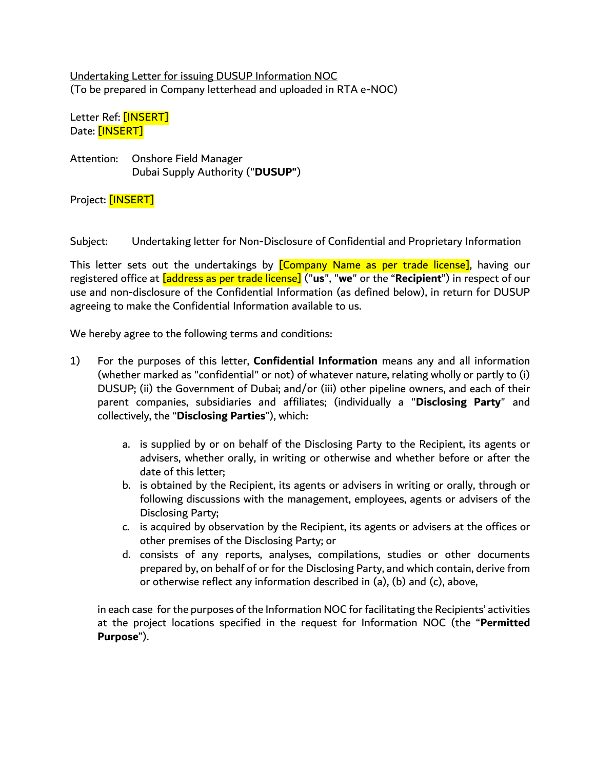Undertaking Letter for issuing DUSUP Information NOC (To be prepared in Company letterhead and uploaded in RTA e-NOC)

Letter Ref: [INSERT] Date: [INSERT]

Attention: Onshore Field Manager Dubai Supply Authority ("**DUSUP"**)

Project: [INSERT]

Subject: Undertaking letter for Non-Disclosure of Confidential and Proprietary Information

This letter sets out the undertakings by **[Company Name as per trade license]**, having our registered office at [address as per trade license] ("**us**", "**we**" or the "**Recipient**") in respect of our use and non-disclosure of the Confidential Information (as defined below), in return for DUSUP agreeing to make the Confidential Information available to us.

We hereby agree to the following terms and conditions:

- 1) For the purposes of this letter, **Confidential Information** means any and all information (whether marked as "confidential" or not) of whatever nature, relating wholly or partly to (i) DUSUP; (ii) the Government of Dubai; and/or (iii) other pipeline owners, and each of their parent companies, subsidiaries and affiliates; (individually a "**Disclosing Party**" and collectively, the "**Disclosing Parties**"), which:
	- a. is supplied by or on behalf of the Disclosing Party to the Recipient, its agents or advisers, whether orally, in writing or otherwise and whether before or after the date of this letter;
	- b. is obtained by the Recipient, its agents or advisers in writing or orally, through or following discussions with the management, employees, agents or advisers of the Disclosing Party;
	- c. is acquired by observation by the Recipient, its agents or advisers at the offices or other premises of the Disclosing Party; or
	- d. consists of any reports, analyses, compilations, studies or other documents prepared by, on behalf of or for the Disclosing Party, and which contain, derive from or otherwise reflect any information described in (a), (b) and (c), above,

in each case for the purposes of the Information NOC for facilitating the Recipients' activities at the project locations specified in the request for Information NOC (the "**Permitted Purpose**").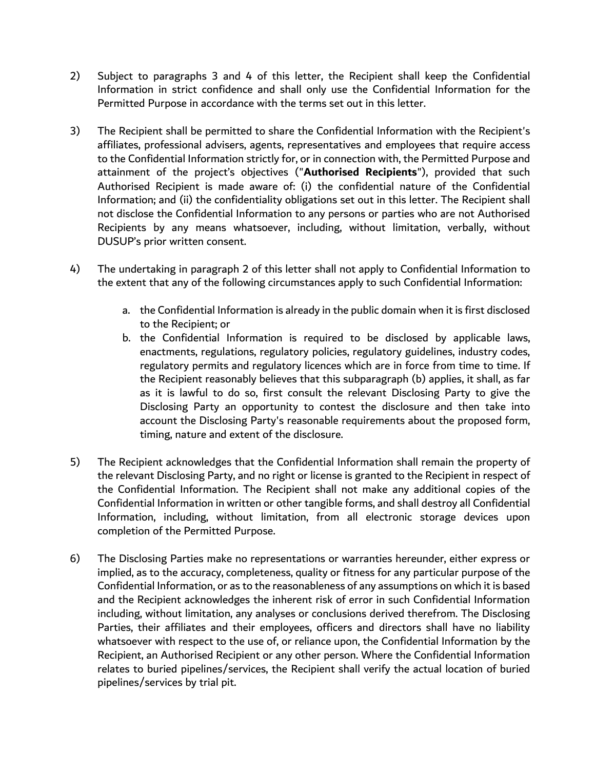- 2) Subject to paragraphs 3 and 4 of this letter, the Recipient shall keep the Confidential Information in strict confidence and shall only use the Confidential Information for the Permitted Purpose in accordance with the terms set out in this letter.
- 3) The Recipient shall be permitted to share the Confidential Information with the Recipient's affiliates, professional advisers, agents, representatives and employees that require access to the Confidential Information strictly for, or in connection with, the Permitted Purpose and attainment of the project's objectives ("**Authorised Recipients**"), provided that such Authorised Recipient is made aware of: (i) the confidential nature of the Confidential Information; and (ii) the confidentiality obligations set out in this letter. The Recipient shall not disclose the Confidential Information to any persons or parties who are not Authorised Recipients by any means whatsoever, including, without limitation, verbally, without DUSUP's prior written consent.
- 4) The undertaking in paragraph 2 of this letter shall not apply to Confidential Information to the extent that any of the following circumstances apply to such Confidential Information:
	- a. the Confidential Information is already in the public domain when it is first disclosed to the Recipient; or
	- b. the Confidential Information is required to be disclosed by applicable laws, enactments, regulations, regulatory policies, regulatory guidelines, industry codes, regulatory permits and regulatory licences which are in force from time to time. If the Recipient reasonably believes that this subparagraph (b) applies, it shall, as far as it is lawful to do so, first consult the relevant Disclosing Party to give the Disclosing Party an opportunity to contest the disclosure and then take into account the Disclosing Party's reasonable requirements about the proposed form, timing, nature and extent of the disclosure.
- 5) The Recipient acknowledges that the Confidential Information shall remain the property of the relevant Disclosing Party, and no right or license is granted to the Recipient in respect of the Confidential Information. The Recipient shall not make any additional copies of the Confidential Information in written or other tangible forms, and shall destroy all Confidential Information, including, without limitation, from all electronic storage devices upon completion of the Permitted Purpose.
- 6) The Disclosing Parties make no representations or warranties hereunder, either express or implied, as to the accuracy, completeness, quality or fitness for any particular purpose of the Confidential Information, or as to the reasonableness of any assumptions on which it is based and the Recipient acknowledges the inherent risk of error in such Confidential Information including, without limitation, any analyses or conclusions derived therefrom. The Disclosing Parties, their affiliates and their employees, officers and directors shall have no liability whatsoever with respect to the use of, or reliance upon, the Confidential Information by the Recipient, an Authorised Recipient or any other person. Where the Confidential Information relates to buried pipelines/services, the Recipient shall verify the actual location of buried pipelines/services by trial pit.